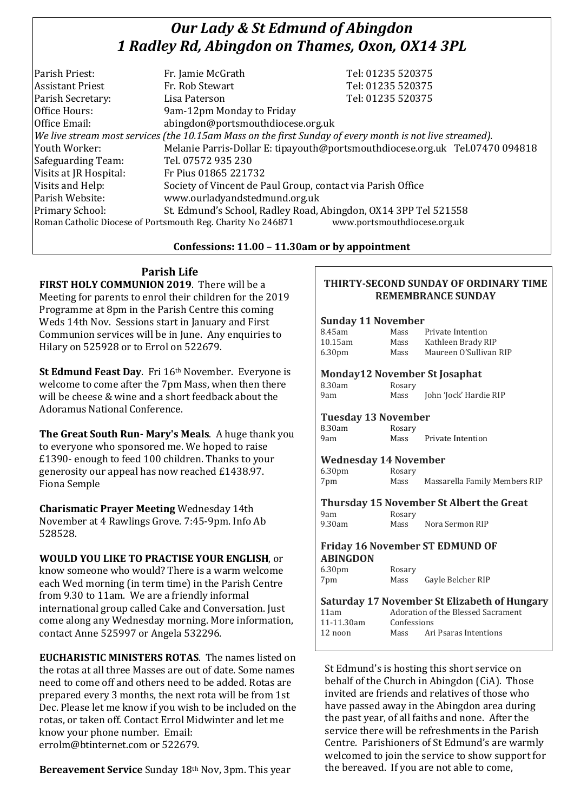# *Our Lady & St Edmund of Abingdon 1 Radley Rd, Abingdon on Thames, Oxon, OX14 3PL*

| Parish Priest:          | Fr. Jamie McGrath                                                                                        | Tel: 01235 520375                                                            |
|-------------------------|----------------------------------------------------------------------------------------------------------|------------------------------------------------------------------------------|
| <b>Assistant Priest</b> | Fr. Rob Stewart                                                                                          | Tel: 01235 520375                                                            |
| Parish Secretary:       | Lisa Paterson                                                                                            | Tel: 01235 520375                                                            |
| Office Hours:           | 9am-12pm Monday to Friday                                                                                |                                                                              |
| Office Email:           | abingdon@portsmouthdiocese.org.uk                                                                        |                                                                              |
|                         | We live stream most services (the 10.15am Mass on the first Sunday of every month is not live streamed). |                                                                              |
| Youth Worker:           |                                                                                                          | Melanie Parris-Dollar E: tipayouth@portsmouthdiocese.org.uk Tel.07470 094818 |
| Safeguarding Team:      | Tel. 07572 935 230                                                                                       |                                                                              |
| Visits at JR Hospital:  | Fr Pius 01865 221732                                                                                     |                                                                              |
| Visits and Help:        | Society of Vincent de Paul Group, contact via Parish Office                                              |                                                                              |
| Parish Website:         | www.ourladyandstedmund.org.uk                                                                            |                                                                              |
| Primary School:         | St. Edmund's School, Radley Road, Abingdon, OX14 3PP Tel 521558                                          |                                                                              |
|                         | Roman Catholic Diocese of Portsmouth Reg. Charity No 246871                                              | www.portsmouthdiocese.org.uk                                                 |
|                         |                                                                                                          |                                                                              |

# **Confessions: 11.00 – 11.30am or by appointment**

**Parish Life**

**FIRST HOLY COMMUNION 2019**. There will be a Meeting for parents to enrol their children for the 2019 Programme at 8pm in the Parish Centre this coming Weds 14th Nov. Sessions start in January and First Communion services will be in June. Any enquiries to Hilary on 525928 or to Errol on 522679.

**St Edmund Feast Day**. Fri 16th November. Everyone is welcome to come after the 7pm Mass, when then there will be cheese & wine and a short feedback about the Adoramus National Conference.

**The Great South Run- Mary's Meals**. A huge thank you to everyone who sponsored me. We hoped to raise £1390- enough to feed 100 children. Thanks to your generosity our appeal has now reached £1438.97. Fiona Semple

**Charismatic Prayer Meeting** Wednesday 14th November at 4 Rawlings Grove. 7:45-9pm. Info Ab 528528.

**WOULD YOU LIKE TO PRACTISE YOUR ENGLISH**, or know someone who would? There is a warm welcome each Wed morning (in term time) in the Parish Centre from 9.30 to 11am. We are a friendly informal international group called Cake and Conversation. Just come along any Wednesday morning. More information, contact Anne 525997 or Angela 532296.

**EUCHARISTIC MINISTERS ROTAS**. The names listed on the rotas at all three Masses are out of date. Some names need to come off and others need to be added. Rotas are prepared every 3 months, the next rota will be from 1st Dec. Please let me know if you wish to be included on the rotas, or taken off. Contact Errol Midwinter and let me know your phone number. Email: errolm@btinternet.com or 522679.

**Bereavement Service** Sunday 18th Nov, 3pm. This year

# **THIRTY-SECOND SUNDAY OF ORDINARY TIME REMEMBRANCE SUNDAY**

#### **Sunday 11 November**

| 8.45am             | Mass | Private Intention      |
|--------------------|------|------------------------|
| $10.15$ am         | Mass | Kathleen Brady RIP     |
| 6.30 <sub>pm</sub> | Mass | Maureen O'Sullivan RIP |

#### **Monday12 November St Josaphat**

| 8.30am | Rosary |
|--------|--------|
| 9am    | Mass   |

John 'Jock' Hardie RIP

## **Tuesday 13 November**

| 8.30am | Rosary |                   |
|--------|--------|-------------------|
| 9am    | Mass   | Private Intention |

## **Wednesday 14 November**

6.30pm Rosary 7pm Mass Massarella Family Members RIP

**Thursday 15 November St Albert the Great** 9am Rosary<br>9.30am Mass

Mass Nora Sermon RIP

#### **Friday 16 November ST EDMUND OF ABINGDON**

6.30pm Rosary 7pm Mass Gayle Belcher RIP

|            |      | <b>Saturday 17 November St Elizabeth of Hungary</b> |  |  |
|------------|------|-----------------------------------------------------|--|--|
| 11am       |      | Adoration of the Blessed Sacrament                  |  |  |
| 11-11.30am |      | Confessions                                         |  |  |
| 12 noon    | Mass | Ari Psaras Intentions                               |  |  |

St Edmund's is hosting this short service on behalf of the Church in Abingdon (CiA). Those invited are friends and relatives of those who have passed away in the Abingdon area during the past year, of all faiths and none. After the service there will be refreshments in the Parish Centre. Parishioners of St Edmund's are warmly welcomed to join the service to show support for the bereaved. If you are not able to come,